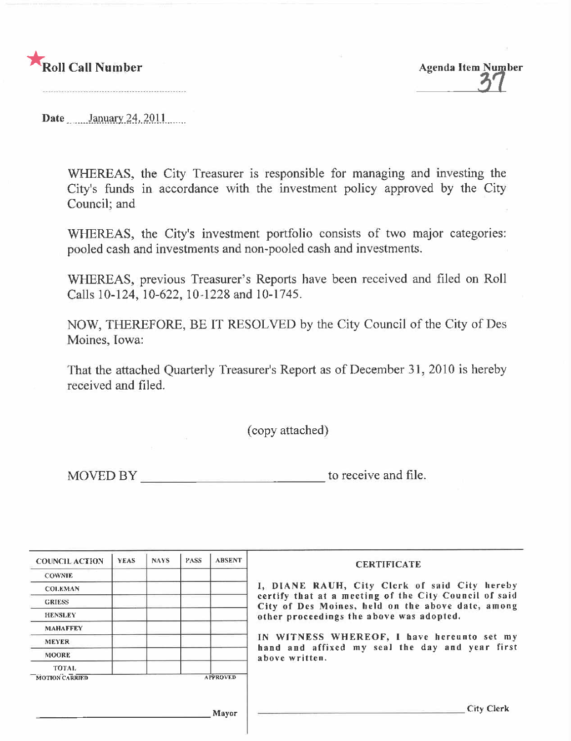

**Agenda Item Number** 

Date January 24, 2011

WHEREAS, the City Treasurer is responsible for managing and investing the City's funds in accordance with the investment policy approved by the City Council; and

WHEREAS, the City's investment portfolio consists of two major categories: pooled cash and investments and non-pooled cash and investments.

WHEREAS, previous Treasurer's Reports have been received and filed on Roll Calls 10-124, 10-622, 10-1228 and 10-1745.

NOW, THEREFORE, BE IT RESOLVED by the City Council of the City of Des Moines, Iowa:

That the attached Quarterly Treasurer's Report as of December 31, 2010 is hereby received and filed.

(copy attached)

| <b>COUNCIL ACTION</b> | <b>YEAS</b> | <b>NAYS</b> | <b>PASS</b> | <b>ABSENT</b>   | <b>CERTIFICATE</b>                                                                                         |
|-----------------------|-------------|-------------|-------------|-----------------|------------------------------------------------------------------------------------------------------------|
| <b>COWNIE</b>         |             |             |             |                 |                                                                                                            |
| <b>COLEMAN</b>        |             |             |             |                 | I, DIANE RAUH, City Clerk of said City hereby                                                              |
| <b>GRIESS</b>         |             |             |             |                 | certify that at a meeting of the City Council of said<br>City of Des Moines, held on the above date, among |
| <b>HENSLEY</b>        |             |             |             |                 | other proceedings the above was adopted.                                                                   |
| <b>MAHAFFEY</b>       |             |             |             |                 |                                                                                                            |
| <b>MEYER</b>          |             |             |             |                 | IN WITNESS WHEREOF, I have hereunto set my                                                                 |
| <b>MOORE</b>          |             |             |             |                 | hand and affixed my seal the day and year first<br>above written.                                          |
| <b>TOTAL</b>          |             |             |             |                 |                                                                                                            |
| <b>MOTION CARRIED</b> |             |             |             | <b>APPROVED</b> |                                                                                                            |
|                       |             |             |             |                 |                                                                                                            |
|                       |             |             |             | Mayor           | City Clerk                                                                                                 |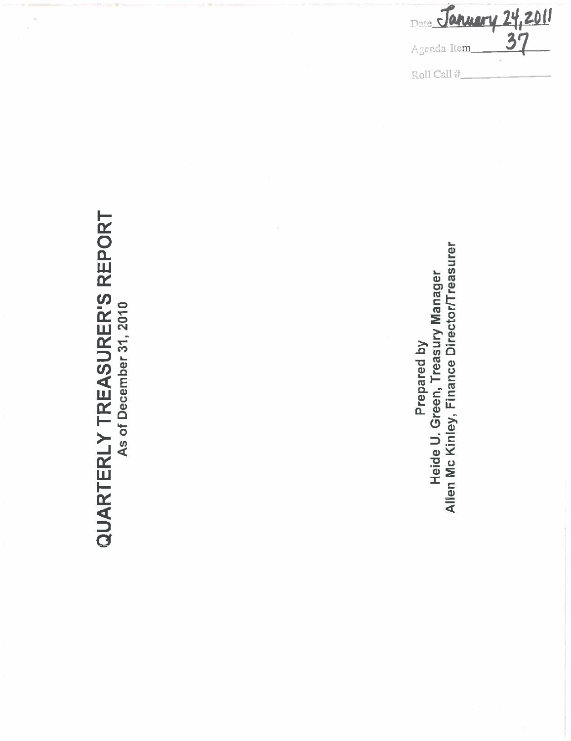| Date January 24,2011 |  |
|----------------------|--|
| Agenda Item          |  |
| Roll Call #          |  |

# **QUARTERLY TREASURER'S REPORT**

Allen Mc Kinley, Finance Director/Treasurer Prepared by<br>Heide U. Green, Treasury Manager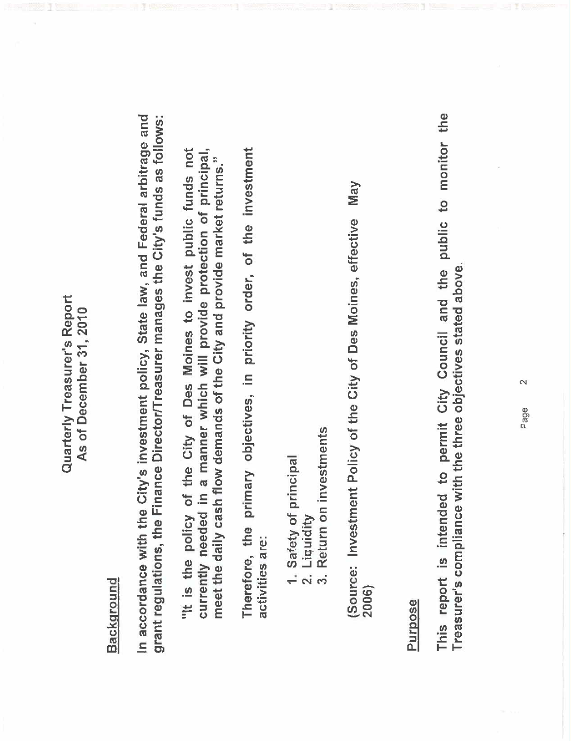#### Quarterly Treasurer's Report Quarterly Treasurer's Report As of December 31, 2010 As of December 31,2010

# Background

In accordance with the City's investment policy, State law, and Federal arbitrage and grant regulations, the Finance Director/Treasurer manages the City's funds as follows: In accordance with the City's investment policy, State law, and Federal arbitrage and grant regulations, the Finance DirectorlTreasurer manages the City's funds as follows:

"It is the policy of the City of Des Moines to invest public funds not currently needed in a manner which will provide protection of principal, "It is the policy of the City of Des Moines to invest public funds not currently needed in a manner which will provide protection of principal, meet the daily cash flow demands of the City and provide market returns." meet the daily cash flow demands of the City and provide market returns."

Therefore, the primary objectives, in priority order, of the investment Therefore, the primary objectives, in priority order, of the investment activities are: activities are:

- 1. Safety of principal 1. Safety of principal
	- 2. Liquidity<br>3. Return on 2. Liquidity
- Return on investments 3. Return on investments

May (Source: Investment Policy of the City of Des Moines, effective May 2006) (Source: Investment Policy of the City of Des Moines, effective 2006)

#### Purpose

This report is intended to permit City Council and the public to monitor the This report is intended to permit City Council and the public to monitor the Treasurer's compliance with the three objectives stated above Treasurer's compliance with the three objectives stated above.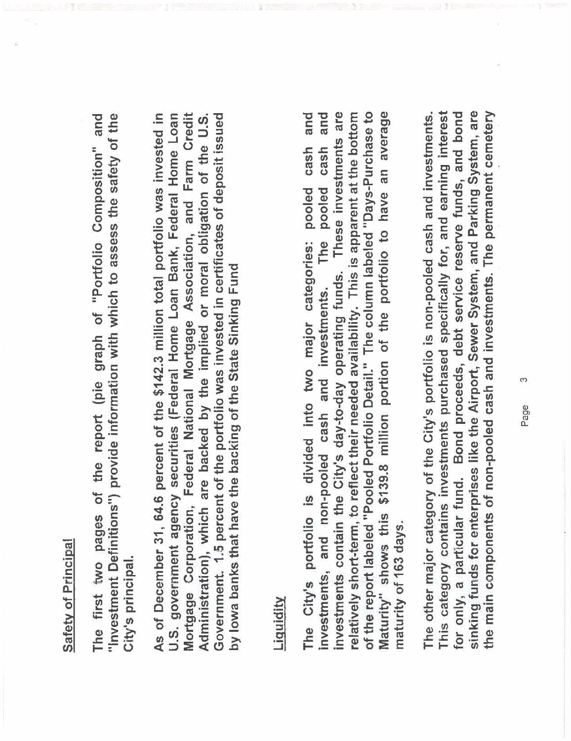## Safety of Principal Safety of Principal

The first two pages of the report (pie graph of "Portfolio Composition" and "Investment Definitions") provide information with which to assess the safety of the The first two pages of the report (pie graph of "Portolio Composition" and "Investment Definitions") provide information with which to assess the safety of the City's principal. City's principaL. As of December 31, 64.6 percent of the \$142.3 million total portfolio was invested in U.S. government agency securities (Federal Home Loan Bank, Federal Home Loan Mortgage Corporation, Federal National Mortgage Association, and Farm Credit Government. 1.5 percent of the portfolio was invested in certificates of deposit issued As of December 31, 64.6 percent of the \$142.3 million total portolio was invested in Mortgage Corporation, Federal National Mortgage Association, and Farm Credit Administration), which are backed by the implied or moral obligation of the U.S. Government. 1.5 percent of the portfolio was invested in certificates of deposit issued U.S. government agency securities (Federal Home Loan Bank, Federal Home Loan Administration), which are backed by the implied or moral obligation of the U.S. by lowa banks that have the backing of the State Sinking Fund by Iowa banks that have the backing of the State Sinking Fund

### Liquidity

and investments contain the City's day-to-day operating funds. These investments are relatively short-term, to reflect their needed availability. This is apparent at the bottom of the report labeled "Pooled Portfolio Detail." The column labeled "Days-Purchase to Maturity" shows this \$139.8 million portion of the portfolio to have an average The City's portfolio is divided into two major categories: pooled cash and investments contain the City's day-to-day operating funds. These investments are of the report labeled "Pooled Portfolio DetaiL." The column labeled "Days-Purchase to Maturity" shows this \$139.8 million portion of the portfolio to have an average The City's portolio is divided into two major categories: pooled cash and investments, and non-pooled cash and investments. The pooled cash and relatively short-term, to reflect their needed availability. This is apparent at the bottom investments, and non-pooled cash and investments. The pooled cash maturity of 163 days. maturity of 163 days.

This category contains investments purchased specifically for, and earning interest sinking funds for enterprises like the Airport, Sewer System, and Parking System, are the main components of non-pooled cash and investments. The permanent cemetery The other major category of the City's portfolio is non-pooled cash and investments. for only, a particular fund. Bond proceeds, debt service reserve funds, and bond This category contains investments purchased specifically for, and earning interest sinking funds for enterprises like the Airport, Sewer System, and Parking System, are the main components of non-pooled cash and investments. The permanent cemetery for only, a particular fund. Bond proceeds, debt service reserve funds, and bond The other major category of the City's portfolio is non-pooled cash and investments.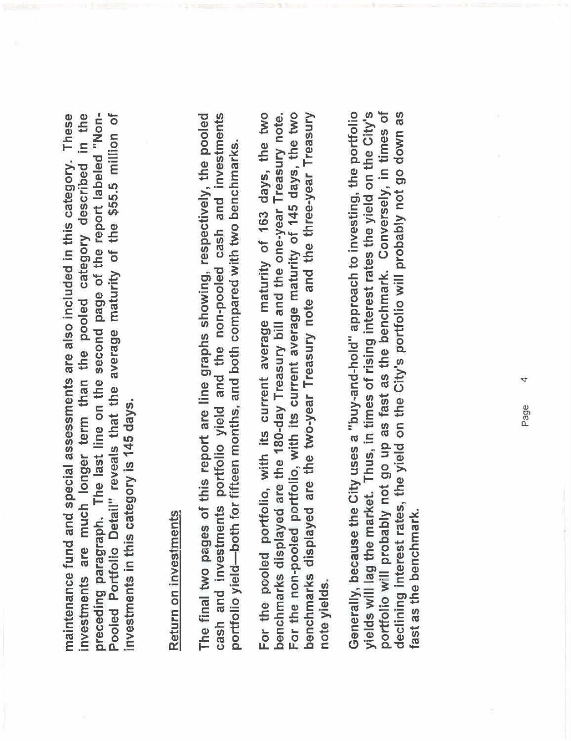in the preceding paragraph. The last line on the second page of the report labeled "Non-Pooled Portfolio Detail" reveals that the average maturity of the \$55.5 million of These preceding paragraph. The last line on the second page of the report labeled "Non-Pooled Portfolio Detail" reveals that the average maturity of the \$55.5 millon of maintenance fund and special assessments are also included in this category. These investments are much longer term than the pooled category described in the maintenance fund and special assessments are also included in this category. investments are much longer term than the pooled category described investments in this category is 145 days. investments in this category is 145 days.

# Return on investments Return on investments

The final two pages of this report are line graphs showing, respectively, the pooled cash and investments portfolio yield and the non-pooled cash and investments The final two pages of this report are line graphs showing, respectively, the pooled cash and investments portfolio yield and the non-pooled cash and investments portfolio yield-both for fifteen months, and both compared with two benchmarks. portfolio yield-both for fifteen months, and both compared with two benchmarks.

For the non-pooled portfolio, with its current average maturity of 145 days, the two For the pooled portfolio, with its current average maturity of 163 days, the two benchmarks displayed are the 180-day Treasury bill and the one-year Treasury note. benchmarks displayed are the two-year Treasury note and the three-year Treasury For the non-pooled portolio, with its current average maturity of 145 days, the two benchmarks displayed are the two-year Treasury note and the three-year Treasury For the pooled portolio, with its current average maturity of 163 days, the two benchmarks displayed are the 180-day Treasury bil and the one-year Treasury note. note yields.

portfolio will probably not go up as fast as the benchmark. Conversely, in times of Generally, because the City uses a "buy-and-hold" approach to investing, the portfolio yields will lag the market. Thus, in times of rising interest rates the yield on the City's declining interest rates, the yield on the City's portfolio will probably not go down as portolio will probably not go up as fast as the benchmark. Conversely, in times of Generally, because the City uses a "buy-and-hold" approach to investing, the portolio yields will lag the market. Thus, in times of rising interest rates the yield on the City's declining interest rates, the yield on the City's portolio will probably not go down as ast as the benchmark. fast as the benchmark.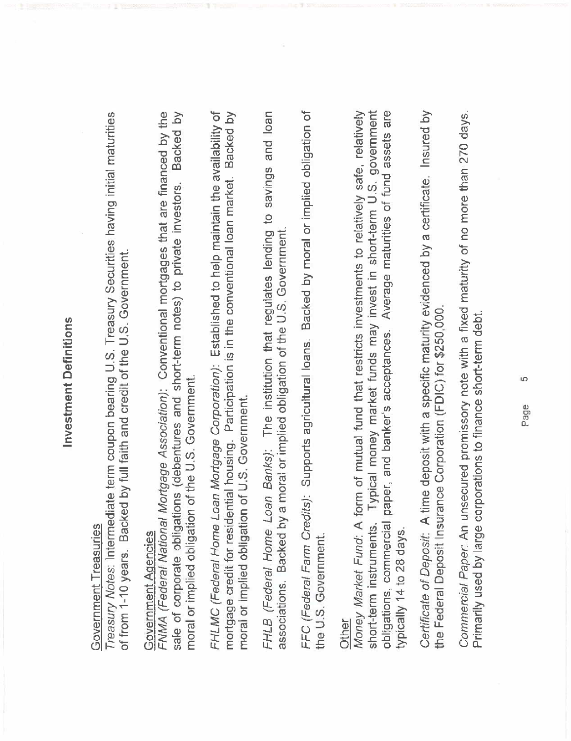# **Investment Definitions** Investment Definitions

# Government Treasuries Government Treasuries

Treasury Notes: Intermediate term coupon bearing U.S. Treasury Securities having initial maturities Treasury Notes: Intermediate term coupon bearing U,S, Treasury Securities having initial maturities of from 1-10 years. Backed by full faith and credit of the U.S. Government. of from 1-10 years, Backed by full faith and credit of the U,S, Government.

## Government Agencies Government Aqencies

FNMA (Federal National Mortgage Association): Conventional mortgages that are financed by the sale of corporate obligations (debentures and short-term notes) to private investors. Backed by FNMA (Federal National Mortgage Association): Conventional mortgages that are financed by the saie of corporate obligations (debentures and short-term notes) to private investors, Backed by moral or implied obligation of the U.S. Government. moral or implied obligation of the U,S, Government. FHLMC (Federal Home Loan Mortgage Corporation): Established to help maintain the availability of mortgage credit for residential housing. Participation is in the conventional loan market. Backed by FHLMC (Federal Home Loan Mortgage Corporation): Established to help maintain the availability of mortgage credit for residential housing, Participation is in the conventional loan market. Backed by moral or implied obligation of U.S. Government. moral or implied obligation of U,S, Government. FHLB (Federal Home Loan Banks): The institution that regulates lending to savings and loan FHLB (Federal Home Loan Banks): The institution that regulates lending to savings and loan associations. Backed by a moral or implied obligation of the U.S. Government. associations, Backed by a moral or implied obligation of the U,S, Government.

FFC (Federal Farm Credits): Supports agricultural loans. Backed by moral or implied obligation of FFC (Federal Farm Credits): Supports agricultural loans, Backed by moral or implied obligation of the U.S. Government. the U.S. Government.

paper, and banker's acceptances. Average maturities of fund assets are Typical money market funds may invest in short-term U.S. government Other<br>Money Market Fund: A form of mutual fund that restricts investments to relatively safe, relatively short-term instruments, Typical money market funds may invest in short-term U,S, government Money Market Fund: A form of mutual fund that restricts investments to relatively safe, relatively obligations, commercial paper, and banker's acceptances, Average maturities of fund assets are short-term instruments. obligations, commercial typically 14 to 28 days. typically 14 to 28 days, Certificate of Deposit: A time deposit with a specific maturity evidenced by a certificate. Insured by Certificate of Deposit: A time deposit with a specific maturity evidenced by a certificate, Insured by the Federal Deposit Insurance Corporation (FDIC) for \$250,000. the Federal Deposit Insurance Corporation (FDIC) for \$250,000,

Commercial Paper: An unsecured promissory note with a fixed maturity of no more than 270 days. Commercial Paper: An unsecured promissory note with a fixed maturity of no more than 270 days. Primarily used by large corporations to finance short-term debt. Primarily used by large corporations to finance short-term debt.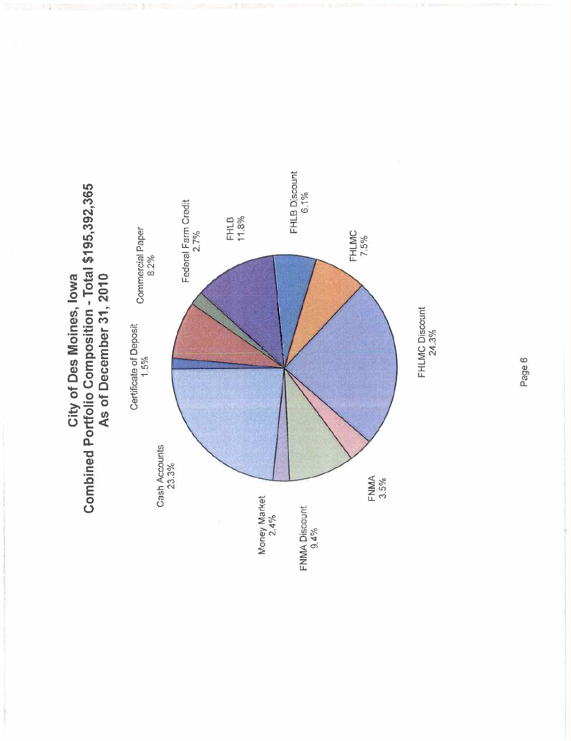



Page 6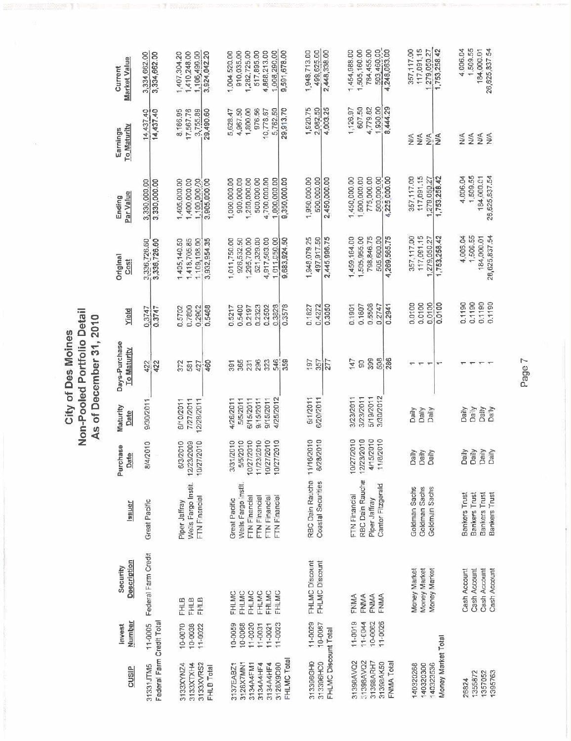|                                                                |                                                         |                                                              |                                                                                                                               |                                                                                         |                                                                           | As of December 31, 2010               |                                                          |                                                                                       |                                                                                          |                                                                     |                                                                                          |
|----------------------------------------------------------------|---------------------------------------------------------|--------------------------------------------------------------|-------------------------------------------------------------------------------------------------------------------------------|-----------------------------------------------------------------------------------------|---------------------------------------------------------------------------|---------------------------------------|----------------------------------------------------------|---------------------------------------------------------------------------------------|------------------------------------------------------------------------------------------|---------------------------------------------------------------------|------------------------------------------------------------------------------------------|
| <b>CUSIP</b>                                                   | Number<br>Invest                                        | <b>Description</b><br>Security                               | <b>Issuer</b>                                                                                                                 | Purchase<br>Date                                                                        | Maturity<br>Date                                                          | Days-Purchase<br><u>To Maturity</u>   | Yield                                                    | Original<br>Cost                                                                      | Par Value<br>Ending                                                                      | To Maturity<br>Earnings                                             | Market Value<br>Current                                                                  |
| Faderal Farm Credit Total<br>31331JTM5                         | 11-0005                                                 | Federal Farm Credit                                          | Great Pacific                                                                                                                 | 8/4/2010                                                                                | 9/30/2011                                                                 | 422<br>422                            | 0.3747<br>0.3747                                         | 3,336,726.60<br>3,336,726.60                                                          | 3,330,000.00<br>3 330,000.00                                                             | 14,437.40<br>14,437.40                                              | 3,334,662.00<br>3,334,662.00                                                             |
| 3133XVRS2<br>3133XYNZ4<br>3133XTXH4<br>FHLB Total              | 10-0070<br>10-0038<br>$11 - 0022$                       | <b>FHLB</b><br><b>FHLB</b><br>FHLB                           | Wells Fargo Instit.<br>FTN Financial<br>Piper Jaffray                                                                         | 6/3/2010<br>7/2010<br>12/23/2009<br>10/27                                               | 7/27/2011<br>6/10/2011<br>12/28/2011                                      | 460<br>372<br>427<br>581              | 0.5468<br>0.7800<br>0.2902<br>0.5702                     | 1,405,140.50<br>1,418,705.85<br>1,109,108.00<br>3,932,954.35                          | 1,400,000.00<br>1,100,000.00<br>1,405,000.00<br>3,905,000.00                             | 8 166.95<br>17,567.78<br>3,755.89<br>29,490.60                      | 1,106,490.00<br>3,924,042.20<br>1,407,304.20<br>1,410,248.00                             |
| 3128X7MN1<br>3134A4FM1<br>3134A4HF4<br>3134A4HF4<br>3137EABZ1  | 10-0059<br>10-0068<br>$11 - 0020$<br>11-0031<br>11-0021 | FHLMC<br>FHLMC<br>FHLMC<br><b>FHLMC</b><br>FHLMC<br>FHLMC    | <b>Nells Fargo instit.</b><br>FTN Financial<br><b>FTN Financial</b><br>FTN Financial<br>FTN Financial<br><b>Great Pacific</b> | 3/31/2010<br>10/27/2010<br>11/23/2010<br>7/2010<br>7/2010<br>5/5/2010<br>10/27<br>10/27 | 9/15/2011<br>6/15/2011<br>9/15/2011<br>4/25/2012<br>4/26/2011<br>5/5/2011 | 546<br>296<br>323<br>365<br>231<br>5g | 0.2502<br>0.3828<br>0.5400<br>0.2323<br>0.5217<br>0.2197 | 4,917,563.00<br>,011,050.00<br>295,700.00<br>521,329.00<br>1,011,750.00<br>926,532.50 | 4.700,000.00<br>1,000.000.00<br>900,000.00<br>1,250,000.00<br>500,000.00<br>1,000,000.00 | 5,762.50<br>4,967.50<br>1,800.00<br>976.56<br>10,778.67<br>5,628.47 | 4,868,213.00<br>1.008.290.00<br>910,035.00<br>1,282,725.00<br>517,895.00<br>1,004,520.00 |
| FHLMC Total<br>3128X9D80                                       | $11 - 0023$                                             |                                                              |                                                                                                                               |                                                                                         |                                                                           | 359                                   | 0.3578                                                   | 9,683,924.50                                                                          | 9,350,000.00                                                                             | 29,913.70                                                           | 9,591,678.00                                                                             |
| FHLMC Discount Total<br>313396GH0<br>313396HCO                 | $11 - 0029$<br>10-0087                                  | FHLMC Discount<br>FHLMC Discount                             | RBC Dain Rauche 11/16/2010<br>Coastal Securities                                                                              | 6/28/2010                                                                               | 6/1/2011<br>6/20/2011                                                     | 277<br>76<br>357                      | 0.3050<br>0.1827<br>0.4272                               | 2,445.996.75<br>1,948,079.25<br>497.917.50                                            | 1,950,000.00<br>2,450,000.00<br>500.000.00                                               | 1,920.75<br>4,003.25<br>2,082.50                                    | 499.625.00<br>1,948,713.00<br>2,448,338.00                                               |
| 31398AVQ2<br>31398AVQ2<br>31398ARH7<br>31398AK50<br>FNMA Total | $11 - 0019$<br>$11 - 0044$<br>11-0026<br>10-0062        | FNMA<br><b>FNMA</b><br>FNMA<br>FNMA                          | RBC Dain Rauche<br>Cantor Fitzgerald<br>FTN Financial<br>Piper Jaffray                                                        | 10/27/2010<br>11/8/2010<br>12/23/2010<br>4/15/2010                                      | 3/23/2011<br>5/19/2011<br>3/30/2012<br>3/23/2011                          | 399<br>508<br>147<br>288<br>8         | 0.5508<br>0.2747<br>0.2941<br>0.1901<br>0.1607           | 798,846.75<br>505 600.00<br>4,269,565.75<br>1,505,955.00<br>1,459,164.00              | 775,000.00<br>1,450,000.00<br>1,500,000.00<br>500,000.00<br>4,225 000.00                 | 4,779.82<br>1,930.00<br>8,444.29<br>607.50<br>1,126.97              | 784,455.00<br>503,460.00<br>4,248,063.00<br>1,505,160.00<br>1,454,988.00                 |
| Money Market Total<br>140320268<br>140320300<br>140323536      |                                                         | Money Market<br>Money Market<br>Money Market                 | Goldman Sachs<br>Goldman Sachs<br>Goldman Sachs                                                                               | <b>Dally</b><br>Daily<br>Oaily                                                          | Daily<br>Dally<br>Daily                                                   | $\tau$                                | 0.0100<br>0.0100<br>0.0100<br>0.0100                     | 117,091.15<br>357,117.00<br>279,050.27<br>1,753,258.42                                | 117,091.15<br>357,117.00<br>1,753,256.42<br>1,279,050.27                                 | Š<br>≶<br>$\frac{4}{2}$<br>$\frac{4}{2}$                            | 117,091.15<br>1,753,258.42<br>357,117.00<br>1.279.050.27                                 |
| 1395763<br>1357052<br>1356872<br>26824                         |                                                         | Cash Account<br>Cash Account<br>Cash Account<br>Cash Account | Bankers Trust<br>Bankers Trust<br>Bankers Trust<br>Bankers Trust                                                              | <b>Daily</b><br>Daily<br>Daily<br>Daily                                                 | Daily<br>Daily<br>Daly<br>Daily                                           |                                       | 0.1190<br>0.1190<br>0.1190<br>0.1190                     | 1,508.55<br>4,006.04<br>26,625,837.54<br>184,000.01                                   | 4,006.04<br>1,509.55<br>26,625,837.54<br>184,000.01                                      | $\frac{4}{2}$<br>SÃ<br>$\frac{4}{2}$<br>⋚                           | 1,509.55<br>4,006.04<br>184,000.01<br>26,625,837.54                                      |

City of Des Moines<br>Non-Pooled Portfolio Detail<br>Controller 24, 2010

7 epeq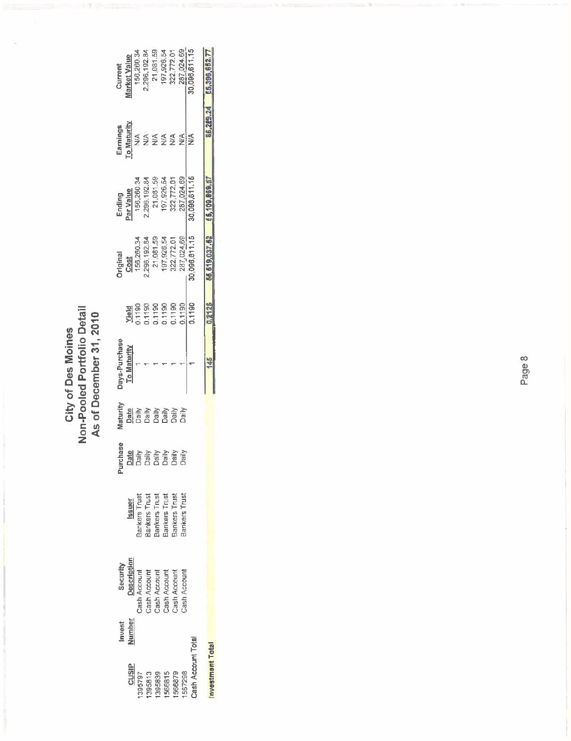City of Des Moines<br>Non-Pooled Portfolio Detail<br>As of December 31, 2010 Non.Pooled Portolio Detail As of Decembef 31,2010 City of Des Moines

|                                                                                                                                                     | Current<br><u>arket Value</u><br>156,280.34<br>2,286,192.84<br>2,011.59<br>197,226,772.01<br>287,024.69<br>287,024.69<br>Earnings<br>Co Maturity<br>Ending<br>Par Value<br>156,266,192.84<br>2,296,192.84<br>197,926,54<br>197,024,59<br>287,024,59<br>280,096,811,15<br><b>Jriginal</b><br>Cost<br>156,260.34<br>156,260.34<br>22,772.01<br>197,926,54<br>187,1024.69<br>287,1024.69<br>Days-Purchase<br>To Maturity<br>laturity<br>Date<br>urchas |                  | <b>Yield</b><br>D.1190<br>D.1190<br>D.1190<br>D.1190<br>D.1190 | $\frac{4555}{2}$ |        | 1,1190             |                 |
|-----------------------------------------------------------------------------------------------------------------------------------------------------|-----------------------------------------------------------------------------------------------------------------------------------------------------------------------------------------------------------------------------------------------------------------------------------------------------------------------------------------------------------------------------------------------------------------------------------------------------|------------------|----------------------------------------------------------------|------------------|--------|--------------------|-----------------|
| <b>NESS EN 1986</b><br>Band Band<br>Band Band<br><b>Issuer</b><br>Bankers Trust<br>Bankers Trust<br>Bankers Trust<br>Bankers Trust<br>Bankers Trust |                                                                                                                                                                                                                                                                                                                                                                                                                                                     |                  |                                                                |                  |        |                    |                 |
|                                                                                                                                                     |                                                                                                                                                                                                                                                                                                                                                                                                                                                     |                  |                                                                |                  |        |                    |                 |
| <b>Description</b><br>Cash Account<br>Cash Account<br>Cash Account<br>Cash Account<br>Cash Account                                                  | Invest<br><u>Jumber</u><br><b>CLISIP</b>                                                                                                                                                                                                                                                                                                                                                                                                            | 395813<br>395797 | 395839<br>566815                                               | 566879           | 567298 | Cash Account Total | nvestmant Total |